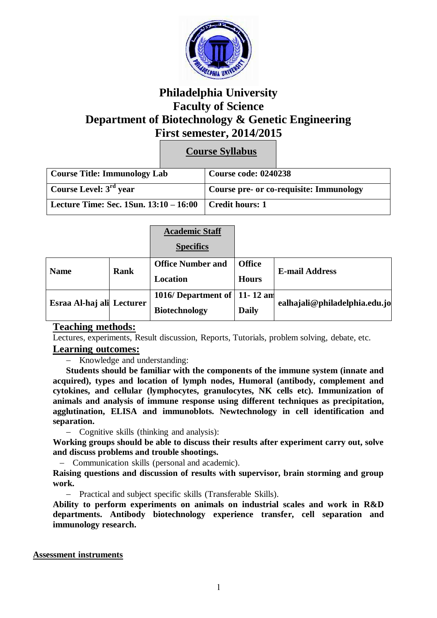

# **Philadelphia University Faculty of Science Department of Biotechnology & Genetic Engineering First semester, 2014/2015**

**Course Syllabus**

| Course Title: Immunology Lab           |  | <b>Course code: 0240238</b>             |  |
|----------------------------------------|--|-----------------------------------------|--|
| Course Level: $3rd$ year               |  | Course pre- or co-requisite: Immunology |  |
| Lecture Time: Sec. 1Sun. 13:10 – 16:00 |  | Credit hours: 1                         |  |

|                           | <b>Academic Staff</b>    |               |                               |
|---------------------------|--------------------------|---------------|-------------------------------|
|                           | <b>Specifics</b>         |               |                               |
| Rank<br><b>Name</b>       | <b>Office Number and</b> | <b>Office</b> | <b>E-mail Address</b>         |
|                           | <b>Location</b>          | <b>Hours</b>  |                               |
| Esraa Al-haj ali Lecturer | 1016/Department of       | $11 - 12$ am  | ealhajali@philadelphia.edu.jo |
|                           | <b>Biotechnology</b>     | <b>Daily</b>  |                               |

## **Teaching methods:**

Lectures, experiments, Result discussion, Reports, Tutorials, problem solving, debate, etc.

### **Learning outcomes:**

- Knowledge and understanding:

**Students should be familiar with the components of the immune system (innate and acquired), types and location of lymph nodes, Humoral (antibody, complement and cytokines, and cellular (lymphocytes, granulocytes, NK cells etc). Immunization of animals and analysis of immune response using different techniques as precipitation, agglutination, ELISA and immunoblots. Newtechnology in cell identification and separation.**

Cognitive skills (thinking and analysis):

**Working groups should be able to discuss their results after experiment carry out, solve and discuss problems and trouble shootings.**

Communication skills (personal and academic).

**Raising questions and discussion of results with supervisor, brain storming and group work.**

- Practical and subject specific skills (Transferable Skills).

**Ability to perform experiments on animals on industrial scales and work in R&D departments. Antibody biotechnology experience transfer, cell separation and immunology research.**

### **Assessment instruments**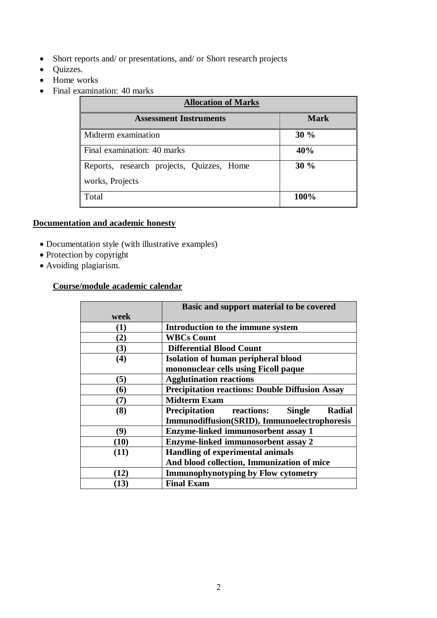- Short reports and/ or presentations, and/ or Short research projects
- Quizzes.
- Home works
- Final examination: 40 marks

| <b>Allocation of Marks</b>                |             |  |
|-------------------------------------------|-------------|--|
| <b>Assessment Instruments</b>             | <b>Mark</b> |  |
| Midterm examination                       | 30%         |  |
| Final examination: 40 marks               | 40%         |  |
| Reports, research projects, Quizzes, Home | 30%         |  |
| works, Projects                           |             |  |
| Total                                     | 100%        |  |

# **Documentation and academic honesty**

- Documentation style (with illustrative examples)
- Protection by copyright
- Avoiding plagiarism.

### **Course/module academic calendar**

|                | Basic and support material to be covered                          |
|----------------|-------------------------------------------------------------------|
| week           |                                                                   |
| $\bf(1)$       | Introduction to the immune system                                 |
| (2)            | <b>WBCs Count</b>                                                 |
| (3)            | <b>Differential Blood Count</b>                                   |
| (4)            | <b>Isolation of human peripheral blood</b>                        |
|                | mononuclear cells using Ficoll paque                              |
| (5)            | <b>Agglutination reactions</b>                                    |
| (6)            | <b>Precipitation reactions: Double Diffusion Assay</b>            |
| (7)            | <b>Midterm Exam</b>                                               |
| (8)            | <b>Precipitation</b> reactions:<br><b>Radial</b><br><b>Single</b> |
|                | Immunodiffusion(SRID), Immunoelectrophoresis                      |
| (9)            | <b>Enzyme-linked immunosorbent assay 1</b>                        |
| (10)           | <b>Enzyme-linked immunosorbent assay 2</b>                        |
| (11)           | <b>Handling of experimental animals</b>                           |
|                | And blood collection, Immunization of mice                        |
| $\mathbf{12)}$ | <b>Immunophynotyping by Flow cytometry</b>                        |
| (13)           | <b>Final Exam</b>                                                 |